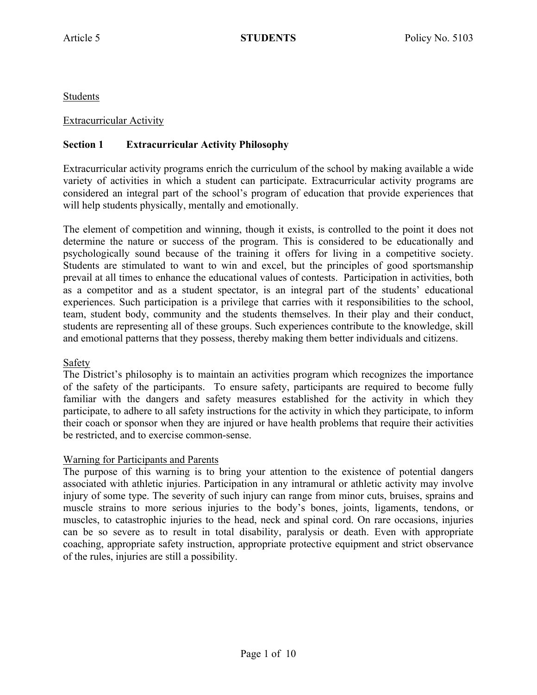Students

### Extracurricular Activity

# **Section 1 Extracurricular Activity Philosophy**

Extracurricular activity programs enrich the curriculum of the school by making available a wide variety of activities in which a student can participate. Extracurricular activity programs are considered an integral part of the school's program of education that provide experiences that will help students physically, mentally and emotionally.

The element of competition and winning, though it exists, is controlled to the point it does not determine the nature or success of the program. This is considered to be educationally and psychologically sound because of the training it offers for living in a competitive society. Students are stimulated to want to win and excel, but the principles of good sportsmanship prevail at all times to enhance the educational values of contests. Participation in activities, both as a competitor and as a student spectator, is an integral part of the students' educational experiences. Such participation is a privilege that carries with it responsibilities to the school, team, student body, community and the students themselves. In their play and their conduct, students are representing all of these groups. Such experiences contribute to the knowledge, skill and emotional patterns that they possess, thereby making them better individuals and citizens.

### Safety

The District's philosophy is to maintain an activities program which recognizes the importance of the safety of the participants. To ensure safety, participants are required to become fully familiar with the dangers and safety measures established for the activity in which they participate, to adhere to all safety instructions for the activity in which they participate, to inform their coach or sponsor when they are injured or have health problems that require their activities be restricted, and to exercise common-sense.

### Warning for Participants and Parents

The purpose of this warning is to bring your attention to the existence of potential dangers associated with athletic injuries. Participation in any intramural or athletic activity may involve injury of some type. The severity of such injury can range from minor cuts, bruises, sprains and muscle strains to more serious injuries to the body's bones, joints, ligaments, tendons, or muscles, to catastrophic injuries to the head, neck and spinal cord. On rare occasions, injuries can be so severe as to result in total disability, paralysis or death. Even with appropriate coaching, appropriate safety instruction, appropriate protective equipment and strict observance of the rules, injuries are still a possibility.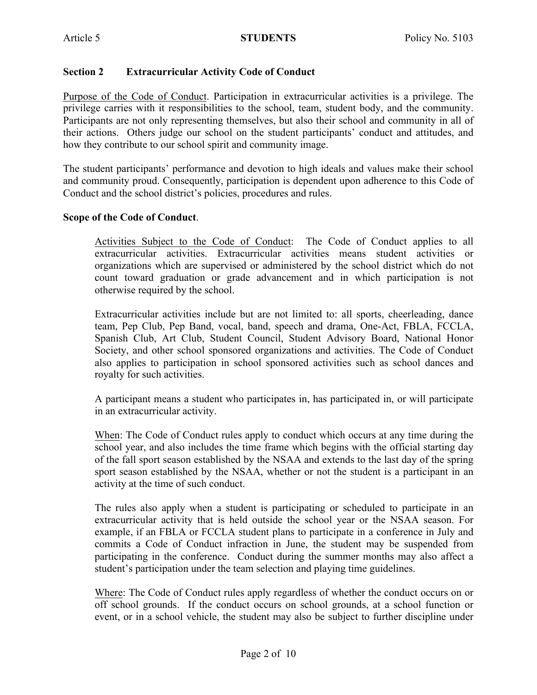### **Section 2 Extracurricular Activity Code of Conduct**

Purpose of the Code of Conduct. Participation in extracurricular activities is a privilege. The privilege carries with it responsibilities to the school, team, student body, and the community. Participants are not only representing themselves, but also their school and community in all of their actions. Others judge our school on the student participants' conduct and attitudes, and how they contribute to our school spirit and community image.

The student participants' performance and devotion to high ideals and values make their school and community proud. Consequently, participation is dependent upon adherence to this Code of Conduct and the school district's policies, procedures and rules.

#### **Scope of the Code of Conduct**.

Activities Subject to the Code of Conduct: The Code of Conduct applies to all extracurricular activities. Extracurricular activities means student activities or organizations which are supervised or administered by the school district which do not count toward graduation or grade advancement and in which participation is not otherwise required by the school.

Extracurricular activities include but are not limited to: all sports, cheerleading, dance team, Pep Club, Pep Band, vocal, band, speech and drama, One-Act, FBLA, FCCLA, Spanish Club, Art Club, Student Council, Student Advisory Board, National Honor Society, and other school sponsored organizations and activities. The Code of Conduct also applies to participation in school sponsored activities such as school dances and royalty for such activities.

A participant means a student who participates in, has participated in, or will participate in an extracurricular activity.

When: The Code of Conduct rules apply to conduct which occurs at any time during the school year, and also includes the time frame which begins with the official starting day of the fall sport season established by the NSAA and extends to the last day of the spring sport season established by the NSAA, whether or not the student is a participant in an activity at the time of such conduct.

The rules also apply when a student is participating or scheduled to participate in an extracurricular activity that is held outside the school year or the NSAA season. For example, if an FBLA or FCCLA student plans to participate in a conference in July and commits a Code of Conduct infraction in June, the student may be suspended from participating in the conference. Conduct during the summer months may also affect a student's participation under the team selection and playing time guidelines.

Where: The Code of Conduct rules apply regardless of whether the conduct occurs on or off school grounds. If the conduct occurs on school grounds, at a school function or event, or in a school vehicle, the student may also be subject to further discipline under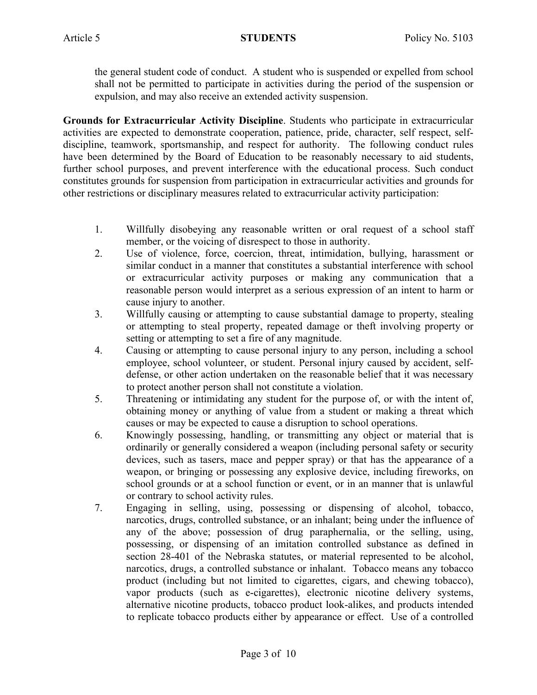the general student code of conduct. A student who is suspended or expelled from school shall not be permitted to participate in activities during the period of the suspension or expulsion, and may also receive an extended activity suspension.

**Grounds for Extracurricular Activity Discipline**. Students who participate in extracurricular activities are expected to demonstrate cooperation, patience, pride, character, self respect, selfdiscipline, teamwork, sportsmanship, and respect for authority. The following conduct rules have been determined by the Board of Education to be reasonably necessary to aid students, further school purposes, and prevent interference with the educational process. Such conduct constitutes grounds for suspension from participation in extracurricular activities and grounds for other restrictions or disciplinary measures related to extracurricular activity participation:

- 1. Willfully disobeying any reasonable written or oral request of a school staff member, or the voicing of disrespect to those in authority.
- 2. Use of violence, force, coercion, threat, intimidation, bullying, harassment or similar conduct in a manner that constitutes a substantial interference with school or extracurricular activity purposes or making any communication that a reasonable person would interpret as a serious expression of an intent to harm or cause injury to another.
- 3. Willfully causing or attempting to cause substantial damage to property, stealing or attempting to steal property, repeated damage or theft involving property or setting or attempting to set a fire of any magnitude.
- 4. Causing or attempting to cause personal injury to any person, including a school employee, school volunteer, or student. Personal injury caused by accident, selfdefense, or other action undertaken on the reasonable belief that it was necessary to protect another person shall not constitute a violation.
- 5. Threatening or intimidating any student for the purpose of, or with the intent of, obtaining money or anything of value from a student or making a threat which causes or may be expected to cause a disruption to school operations.
- 6. Knowingly possessing, handling, or transmitting any object or material that is ordinarily or generally considered a weapon (including personal safety or security devices, such as tasers, mace and pepper spray) or that has the appearance of a weapon, or bringing or possessing any explosive device, including fireworks, on school grounds or at a school function or event, or in an manner that is unlawful or contrary to school activity rules.
- 7. Engaging in selling, using, possessing or dispensing of alcohol, tobacco, narcotics, drugs, controlled substance, or an inhalant; being under the influence of any of the above; possession of drug paraphernalia, or the selling, using, possessing, or dispensing of an imitation controlled substance as defined in section 28-401 of the Nebraska statutes, or material represented to be alcohol, narcotics, drugs, a controlled substance or inhalant. Tobacco means any tobacco product (including but not limited to cigarettes, cigars, and chewing tobacco), vapor products (such as e-cigarettes), electronic nicotine delivery systems, alternative nicotine products, tobacco product look-alikes, and products intended to replicate tobacco products either by appearance or effect. Use of a controlled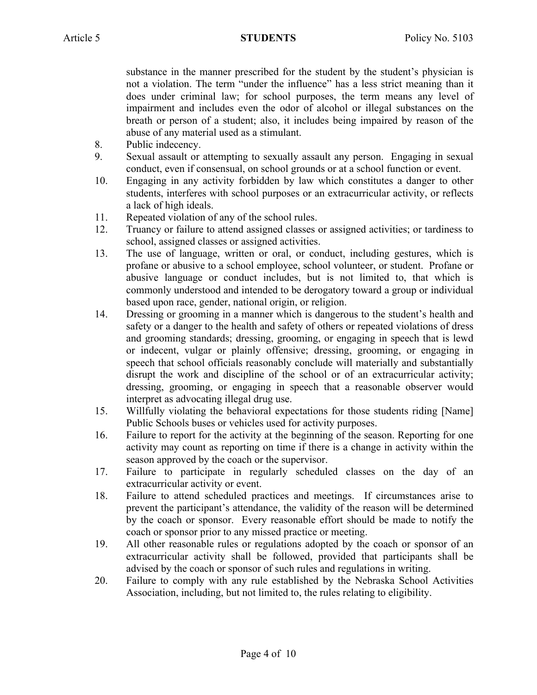substance in the manner prescribed for the student by the student's physician is not a violation. The term "under the influence" has a less strict meaning than it does under criminal law; for school purposes, the term means any level of impairment and includes even the odor of alcohol or illegal substances on the breath or person of a student; also, it includes being impaired by reason of the abuse of any material used as a stimulant.

- 8. Public indecency.
- 9. Sexual assault or attempting to sexually assault any person. Engaging in sexual conduct, even if consensual, on school grounds or at a school function or event.
- 10. Engaging in any activity forbidden by law which constitutes a danger to other students, interferes with school purposes or an extracurricular activity, or reflects a lack of high ideals.
- 11. Repeated violation of any of the school rules.
- 12. Truancy or failure to attend assigned classes or assigned activities; or tardiness to school, assigned classes or assigned activities.
- 13. The use of language, written or oral, or conduct, including gestures, which is profane or abusive to a school employee, school volunteer, or student. Profane or abusive language or conduct includes, but is not limited to, that which is commonly understood and intended to be derogatory toward a group or individual based upon race, gender, national origin, or religion.
- 14. Dressing or grooming in a manner which is dangerous to the student's health and safety or a danger to the health and safety of others or repeated violations of dress and grooming standards; dressing, grooming, or engaging in speech that is lewd or indecent, vulgar or plainly offensive; dressing, grooming, or engaging in speech that school officials reasonably conclude will materially and substantially disrupt the work and discipline of the school or of an extracurricular activity; dressing, grooming, or engaging in speech that a reasonable observer would interpret as advocating illegal drug use.
- 15. Willfully violating the behavioral expectations for those students riding [Name] Public Schools buses or vehicles used for activity purposes.
- 16. Failure to report for the activity at the beginning of the season. Reporting for one activity may count as reporting on time if there is a change in activity within the season approved by the coach or the supervisor.
- 17. Failure to participate in regularly scheduled classes on the day of an extracurricular activity or event.
- 18. Failure to attend scheduled practices and meetings. If circumstances arise to prevent the participant's attendance, the validity of the reason will be determined by the coach or sponsor. Every reasonable effort should be made to notify the coach or sponsor prior to any missed practice or meeting.
- 19. All other reasonable rules or regulations adopted by the coach or sponsor of an extracurricular activity shall be followed, provided that participants shall be advised by the coach or sponsor of such rules and regulations in writing.
- 20. Failure to comply with any rule established by the Nebraska School Activities Association, including, but not limited to, the rules relating to eligibility.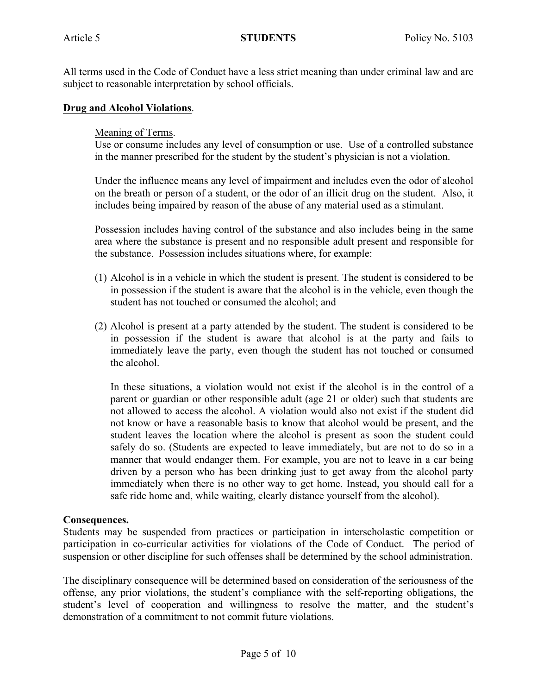All terms used in the Code of Conduct have a less strict meaning than under criminal law and are subject to reasonable interpretation by school officials.

#### **Drug and Alcohol Violations**.

#### Meaning of Terms.

Use or consume includes any level of consumption or use. Use of a controlled substance in the manner prescribed for the student by the student's physician is not a violation.

Under the influence means any level of impairment and includes even the odor of alcohol on the breath or person of a student, or the odor of an illicit drug on the student. Also, it includes being impaired by reason of the abuse of any material used as a stimulant.

Possession includes having control of the substance and also includes being in the same area where the substance is present and no responsible adult present and responsible for the substance. Possession includes situations where, for example:

- (1) Alcohol is in a vehicle in which the student is present. The student is considered to be in possession if the student is aware that the alcohol is in the vehicle, even though the student has not touched or consumed the alcohol; and
- (2) Alcohol is present at a party attended by the student. The student is considered to be in possession if the student is aware that alcohol is at the party and fails to immediately leave the party, even though the student has not touched or consumed the alcohol.

In these situations, a violation would not exist if the alcohol is in the control of a parent or guardian or other responsible adult (age 21 or older) such that students are not allowed to access the alcohol. A violation would also not exist if the student did not know or have a reasonable basis to know that alcohol would be present, and the student leaves the location where the alcohol is present as soon the student could safely do so. (Students are expected to leave immediately, but are not to do so in a manner that would endanger them. For example, you are not to leave in a car being driven by a person who has been drinking just to get away from the alcohol party immediately when there is no other way to get home. Instead, you should call for a safe ride home and, while waiting, clearly distance yourself from the alcohol).

### **Consequences.**

Students may be suspended from practices or participation in interscholastic competition or participation in co-curricular activities for violations of the Code of Conduct. The period of suspension or other discipline for such offenses shall be determined by the school administration.

The disciplinary consequence will be determined based on consideration of the seriousness of the offense, any prior violations, the student's compliance with the self-reporting obligations, the student's level of cooperation and willingness to resolve the matter, and the student's demonstration of a commitment to not commit future violations.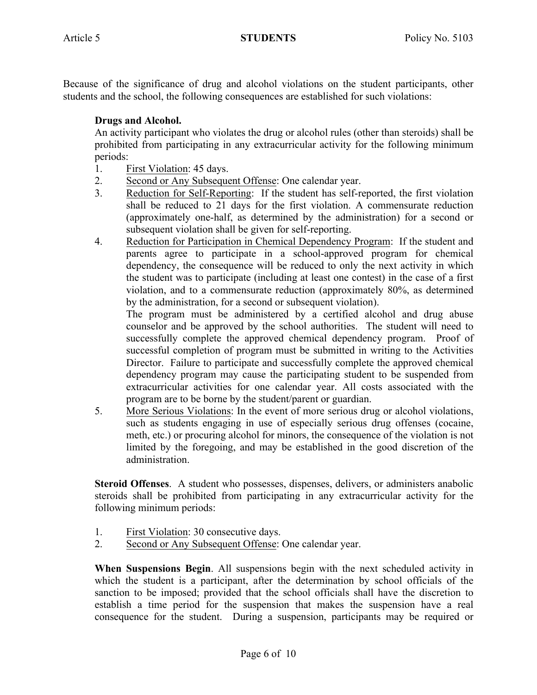Because of the significance of drug and alcohol violations on the student participants, other students and the school, the following consequences are established for such violations:

# **Drugs and Alcohol.**

An activity participant who violates the drug or alcohol rules (other than steroids) shall be prohibited from participating in any extracurricular activity for the following minimum periods:

- 1. First Violation: 45 days.
- 2. Second or Any Subsequent Offense: One calendar year.
- 3. Reduction for Self-Reporting: If the student has self-reported, the first violation shall be reduced to 21 days for the first violation. A commensurate reduction (approximately one-half, as determined by the administration) for a second or subsequent violation shall be given for self-reporting.
- 4. Reduction for Participation in Chemical Dependency Program: If the student and parents agree to participate in a school-approved program for chemical dependency, the consequence will be reduced to only the next activity in which the student was to participate (including at least one contest) in the case of a first violation, and to a commensurate reduction (approximately 80%, as determined by the administration, for a second or subsequent violation).

The program must be administered by a certified alcohol and drug abuse counselor and be approved by the school authorities. The student will need to successfully complete the approved chemical dependency program. Proof of successful completion of program must be submitted in writing to the Activities Director. Failure to participate and successfully complete the approved chemical dependency program may cause the participating student to be suspended from extracurricular activities for one calendar year. All costs associated with the program are to be borne by the student/parent or guardian.

5. More Serious Violations: In the event of more serious drug or alcohol violations, such as students engaging in use of especially serious drug offenses (cocaine, meth, etc.) or procuring alcohol for minors, the consequence of the violation is not limited by the foregoing, and may be established in the good discretion of the administration.

**Steroid Offenses**. A student who possesses, dispenses, delivers, or administers anabolic steroids shall be prohibited from participating in any extracurricular activity for the following minimum periods:

- 1. First Violation: 30 consecutive days.
- 2. Second or Any Subsequent Offense: One calendar year.

**When Suspensions Begin**. All suspensions begin with the next scheduled activity in which the student is a participant, after the determination by school officials of the sanction to be imposed; provided that the school officials shall have the discretion to establish a time period for the suspension that makes the suspension have a real consequence for the student. During a suspension, participants may be required or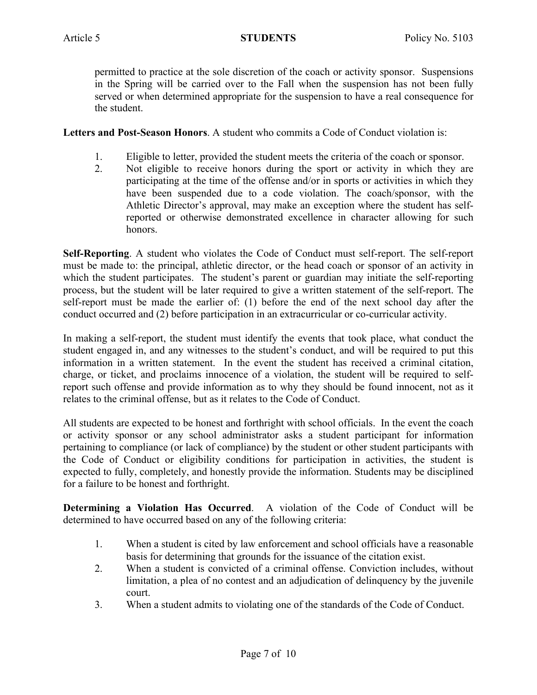permitted to practice at the sole discretion of the coach or activity sponsor. Suspensions in the Spring will be carried over to the Fall when the suspension has not been fully served or when determined appropriate for the suspension to have a real consequence for the student.

**Letters and Post-Season Honors**. A student who commits a Code of Conduct violation is:

- 1. Eligible to letter, provided the student meets the criteria of the coach or sponsor.
- 2. Not eligible to receive honors during the sport or activity in which they are participating at the time of the offense and/or in sports or activities in which they have been suspended due to a code violation. The coach/sponsor, with the Athletic Director's approval, may make an exception where the student has selfreported or otherwise demonstrated excellence in character allowing for such honors.

**Self-Reporting**. A student who violates the Code of Conduct must self-report. The self-report must be made to: the principal, athletic director, or the head coach or sponsor of an activity in which the student participates. The student's parent or guardian may initiate the self-reporting process, but the student will be later required to give a written statement of the self-report. The self-report must be made the earlier of: (1) before the end of the next school day after the conduct occurred and (2) before participation in an extracurricular or co-curricular activity.

In making a self-report, the student must identify the events that took place, what conduct the student engaged in, and any witnesses to the student's conduct, and will be required to put this information in a written statement. In the event the student has received a criminal citation, charge, or ticket, and proclaims innocence of a violation, the student will be required to selfreport such offense and provide information as to why they should be found innocent, not as it relates to the criminal offense, but as it relates to the Code of Conduct.

All students are expected to be honest and forthright with school officials. In the event the coach or activity sponsor or any school administrator asks a student participant for information pertaining to compliance (or lack of compliance) by the student or other student participants with the Code of Conduct or eligibility conditions for participation in activities, the student is expected to fully, completely, and honestly provide the information. Students may be disciplined for a failure to be honest and forthright.

**Determining a Violation Has Occurred**. A violation of the Code of Conduct will be determined to have occurred based on any of the following criteria:

- 1. When a student is cited by law enforcement and school officials have a reasonable basis for determining that grounds for the issuance of the citation exist.
- 2. When a student is convicted of a criminal offense. Conviction includes, without limitation, a plea of no contest and an adjudication of delinquency by the juvenile court.
- 3. When a student admits to violating one of the standards of the Code of Conduct.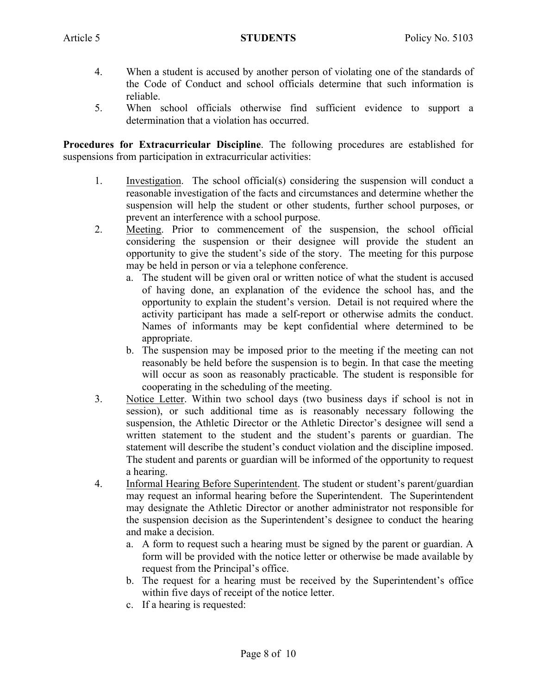- 4. When a student is accused by another person of violating one of the standards of the Code of Conduct and school officials determine that such information is reliable.
- 5. When school officials otherwise find sufficient evidence to support a determination that a violation has occurred.

**Procedures for Extracurricular Discipline**. The following procedures are established for suspensions from participation in extracurricular activities:

- 1. Investigation. The school official(s) considering the suspension will conduct a reasonable investigation of the facts and circumstances and determine whether the suspension will help the student or other students, further school purposes, or prevent an interference with a school purpose.
- 2. Meeting. Prior to commencement of the suspension, the school official considering the suspension or their designee will provide the student an opportunity to give the student's side of the story. The meeting for this purpose may be held in person or via a telephone conference.
	- a. The student will be given oral or written notice of what the student is accused of having done, an explanation of the evidence the school has, and the opportunity to explain the student's version. Detail is not required where the activity participant has made a self-report or otherwise admits the conduct. Names of informants may be kept confidential where determined to be appropriate.
	- b. The suspension may be imposed prior to the meeting if the meeting can not reasonably be held before the suspension is to begin. In that case the meeting will occur as soon as reasonably practicable. The student is responsible for cooperating in the scheduling of the meeting.
- 3. Notice Letter. Within two school days (two business days if school is not in session), or such additional time as is reasonably necessary following the suspension, the Athletic Director or the Athletic Director's designee will send a written statement to the student and the student's parents or guardian. The statement will describe the student's conduct violation and the discipline imposed. The student and parents or guardian will be informed of the opportunity to request a hearing.
- 4. Informal Hearing Before Superintendent. The student or student's parent/guardian may request an informal hearing before the Superintendent. The Superintendent may designate the Athletic Director or another administrator not responsible for the suspension decision as the Superintendent's designee to conduct the hearing and make a decision.
	- a. A form to request such a hearing must be signed by the parent or guardian. A form will be provided with the notice letter or otherwise be made available by request from the Principal's office.
	- b. The request for a hearing must be received by the Superintendent's office within five days of receipt of the notice letter.
	- c. If a hearing is requested: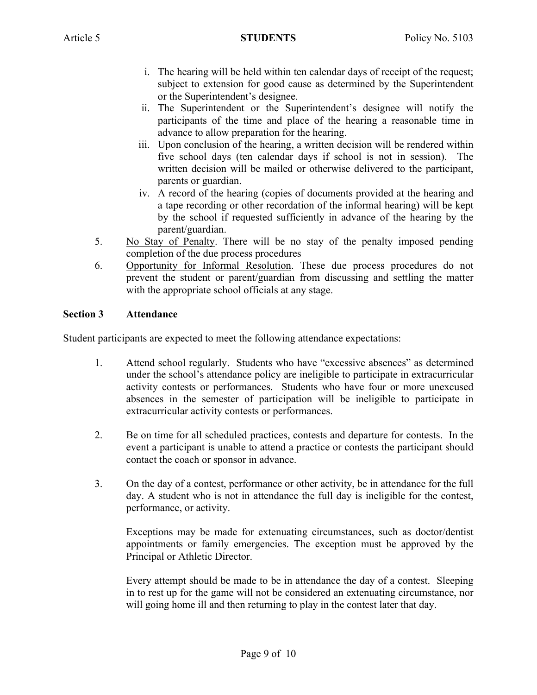- i. The hearing will be held within ten calendar days of receipt of the request; subject to extension for good cause as determined by the Superintendent or the Superintendent's designee.
- ii. The Superintendent or the Superintendent's designee will notify the participants of the time and place of the hearing a reasonable time in advance to allow preparation for the hearing.
- iii. Upon conclusion of the hearing, a written decision will be rendered within five school days (ten calendar days if school is not in session). The written decision will be mailed or otherwise delivered to the participant, parents or guardian.
- iv. A record of the hearing (copies of documents provided at the hearing and a tape recording or other recordation of the informal hearing) will be kept by the school if requested sufficiently in advance of the hearing by the parent/guardian.
- 5. No Stay of Penalty. There will be no stay of the penalty imposed pending completion of the due process procedures
- 6. Opportunity for Informal Resolution. These due process procedures do not prevent the student or parent/guardian from discussing and settling the matter with the appropriate school officials at any stage.

## **Section 3 Attendance**

Student participants are expected to meet the following attendance expectations:

- 1. Attend school regularly. Students who have "excessive absences" as determined under the school's attendance policy are ineligible to participate in extracurricular activity contests or performances. Students who have four or more unexcused absences in the semester of participation will be ineligible to participate in extracurricular activity contests or performances.
- 2. Be on time for all scheduled practices, contests and departure for contests. In the event a participant is unable to attend a practice or contests the participant should contact the coach or sponsor in advance.
- 3. On the day of a contest, performance or other activity, be in attendance for the full day. A student who is not in attendance the full day is ineligible for the contest, performance, or activity.

Exceptions may be made for extenuating circumstances, such as doctor/dentist appointments or family emergencies. The exception must be approved by the Principal or Athletic Director.

Every attempt should be made to be in attendance the day of a contest. Sleeping in to rest up for the game will not be considered an extenuating circumstance, nor will going home ill and then returning to play in the contest later that day.